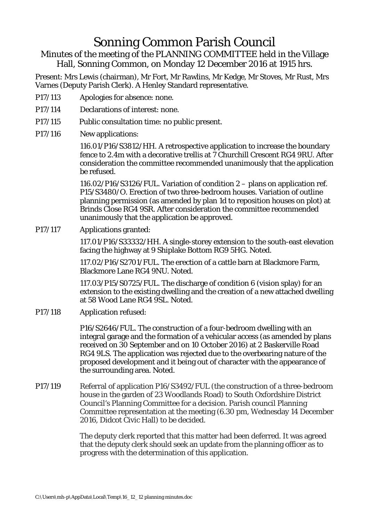## Sonning Common Parish Council

Minutes of the meeting of the PLANNING COMMITTEE held in the Village Hall, Sonning Common, on Monday 12 December 2016 at 1915 hrs.

Present: Mrs Lewis (chairman), Mr Fort, Mr Rawlins, Mr Kedge, Mr Stoves, Mr Rust, Mrs Varnes (Deputy Parish Clerk). A Henley Standard representative.

- P17/113 Apologies for absence: none.
- P17/114 Declarations of interest: none.
- P17/115 Public consultation time: no public present.
- P17/116 New applications:

116.01/P16/S3812/HH. A retrospective application to increase the boundary fence to 2.4m with a decorative trellis at 7 Churchill Crescent RG4 9RU. After consideration the committee recommended unanimously that the application be refused.

116.02/P16/S3126/FUL. Variation of condition 2 – plans on application ref. P15/S3480/O. Erection of two three-bedroom houses. Variation of outline planning permission (as amended by plan 1d to reposition houses on plot) at Brinds Close RG4 9SR. After consideration the committee recommended unanimously that the application be approved.

P17/117 Applications granted:

117.01/P16/S33332/HH. A single-storey extension to the south-east elevation facing the highway at 9 Shiplake Bottom RG9 5HG. Noted.

117.02/P16/S2701/FUL. The erection of a cattle barn at Blackmore Farm, Blackmore Lane RG4 9NU. Noted.

117.03/P15/S0725/FUL. The discharge of condition 6 (vision splay) for an extension to the existing dwelling and the creation of a new attached dwelling at 58 Wood Lane RG4 9SL. Noted.

P17/118 Application refused:

P16/S2646/FUL. The construction of a four-bedroom dwelling with an integral garage and the formation of a vehicular access (as amended by plans received on 30 September and on 10 October 2016) at 2 Baskerville Road RG4 9LS. The application was rejected due to the overbearing nature of the proposed development and it being out of character with the appearance of the surrounding area. Noted.

P17/119 Referral of application P16/S3492/FUL (the construction of a three-bedroom house in the garden of 23 Woodlands Road) to South Oxfordshire District Council's Planning Committee for a decision. Parish council Planning Committee representation at the meeting (6.30 pm, Wednesday 14 December 2016, Didcot Civic Hall) to be decided.

> The deputy clerk reported that this matter had been deferred. It was agreed that the deputy clerk should seek an update from the planning officer as to progress with the determination of this application.